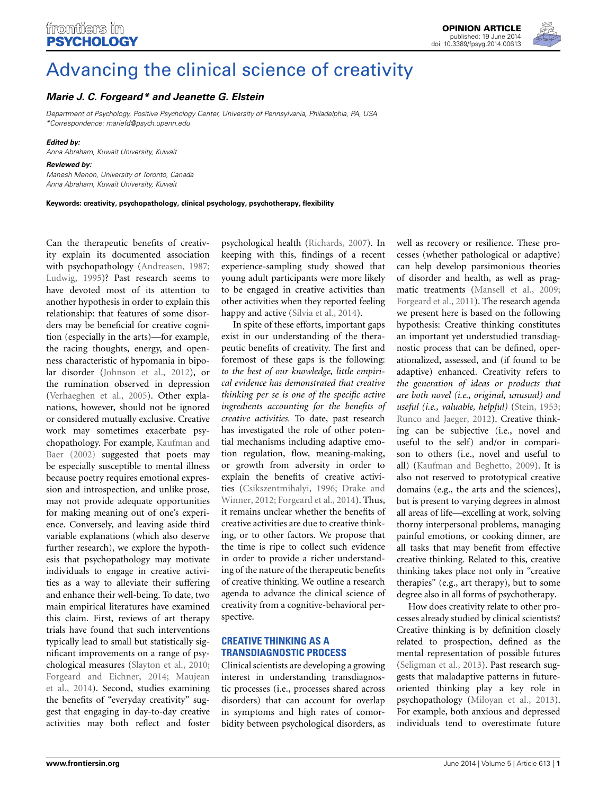

# [Advancing the clinical science of creativity](http://www.frontiersin.org/journal/10.3389/fpsyg.2014.00613/full)

## *[Marie J. C. Forgeard\\*](http://community.frontiersin.org/people/u/125416) and [Jeanette G. Elstein](http://community.frontiersin.org/people/u/139156)*

*Department of Psychology, Positive Psychology Center, University of Pennsylvania, Philadelphia, PA, USA \*Correspondence: [mariefd@psych.upenn.edu](mailto:mariefd@psych.upenn.edu)*

#### *Edited by:*

*Anna Abraham, Kuwait University, Kuwait*

#### *Reviewed by:*

*Mahesh Menon, University of Toronto, Canada Anna Abraham, Kuwait University, Kuwait*

**Keywords: creativity, psychopathology, clinical psychology, psychotherapy, flexibility**

Can the therapeutic benefits of creativity explain its documented association with psychopathology [\(Andreasen, 1987;](#page-2-0) [Ludwig, 1995\)](#page-2-1)? Past research seems to have devoted most of its attention to another hypothesis in order to explain this relationship: that features of some disorders may be beneficial for creative cognition (especially in the arts)—for example, the racing thoughts, energy, and openness characteristic of hypomania in bipolar disorder [\(Johnson et al.](#page-2-2), [2012](#page-2-2)), or the rumination observed in depression [\(Verhaeghen et al., 2005](#page-2-3)). Other explanations, however, should not be ignored or considered mutually exclusive. Creative work may sometimes exacerbate psycho[pathology.](#page-2-4) [For](#page-2-4) [example,](#page-2-4) Kaufman and Baer [\(2002](#page-2-4)) suggested that poets may be especially susceptible to mental illness because poetry requires emotional expression and introspection, and unlike prose, may not provide adequate opportunities for making meaning out of one's experience. Conversely, and leaving aside third variable explanations (which also deserve further research), we explore the hypothesis that psychopathology may motivate individuals to engage in creative activities as a way to alleviate their suffering and enhance their well-being. To date, two main empirical literatures have examined this claim. First, reviews of art therapy trials have found that such interventions typically lead to small but statistically significant improvements on a range of psychological measures [\(Slayton et al., 2010;](#page-2-5) [Forgeard and Eichner](#page-2-6)[,](#page-2-7) [2014;](#page-2-6) Maujean et al., [2014](#page-2-7)). Second, studies examining the benefits of "everyday creativity" suggest that engaging in day-to-day creative activities may both reflect and foster

psychological health [\(Richards, 2007](#page-2-8)). In keeping with this, findings of a recent experience-sampling study showed that young adult participants were more likely to be engaged in creative activities than other activities when they reported feeling happy and active [\(Silvia et al.](#page-2-9), [2014](#page-2-9)).

In spite of these efforts, important gaps exist in our understanding of the therapeutic benefits of creativity. The first and foremost of these gaps is the following: *to the best of our knowledge, little empirical evidence has demonstrated that creative thinking per se is one of the specific active ingredients accounting for the benefits of creative activities.* To date, past research has investigated the role of other potential mechanisms including adaptive emotion regulation, flow, meaning-making, or growth from adversity in order to explain the benefits of creative activities [\(Csikszentmihalyi](#page-2-10)[,](#page-2-11) [1996;](#page-2-10) Drake and Winner, [2012;](#page-2-11) [Forgeard et al.](#page-2-12), [2014\)](#page-2-12). Thus, it remains unclear whether the benefits of creative activities are due to creative thinking, or to other factors. We propose that the time is ripe to collect such evidence in order to provide a richer understanding of the nature of the therapeutic benefits of creative thinking. We outline a research agenda to advance the clinical science of creativity from a cognitive-behavioral perspective.

## **CREATIVE THINKING AS A TRANSDIAGNOSTIC PROCESS**

Clinical scientists are developing a growing interest in understanding transdiagnostic processes (i.e., processes shared across disorders) that can account for overlap in symptoms and high rates of comorbidity between psychological disorders, as

well as recovery or resilience. These processes (whether pathological or adaptive) can help develop parsimonious theories of disorder and health, as well as pragmatic treatments [\(Mansell et al., 2009;](#page-2-13) [Forgeard et al., 2011](#page-2-14)). The research agenda we present here is based on the following hypothesis: Creative thinking constitutes an important yet understudied transdiagnostic process that can be defined, operationalized, assessed, and (if found to be adaptive) enhanced. Creativity refers to *the generation of ideas or products that are both novel (i.e., original, unusual) and useful (i.e., valuable, helpful)* [\(Stein, 1953;](#page-2-15) [Runco and Jaeger](#page-2-16), [2012](#page-2-16)). Creative thinking can be subjective (i.e., novel and useful to the self) and/or in comparison to others (i.e., novel and useful to all) [\(Kaufman and Beghetto](#page-2-17), [2009](#page-2-17)). It is also not reserved to prototypical creative domains (e.g., the arts and the sciences), but is present to varying degrees in almost all areas of life—excelling at work, solving thorny interpersonal problems, managing painful emotions, or cooking dinner, are all tasks that may benefit from effective creative thinking. Related to this, creative thinking takes place not only in "creative therapies" (e.g., art therapy), but to some degree also in all forms of psychotherapy.

How does creativity relate to other processes already studied by clinical scientists? Creative thinking is by definition closely related to prospection, defined as the mental representation of possible futures [\(Seligman et al.](#page-2-18), [2013\)](#page-2-18). Past research suggests that maladaptive patterns in futureoriented thinking play a key role in psychopathology [\(Miloyan et al., 2013](#page-2-19)). For example, both anxious and depressed individuals tend to overestimate future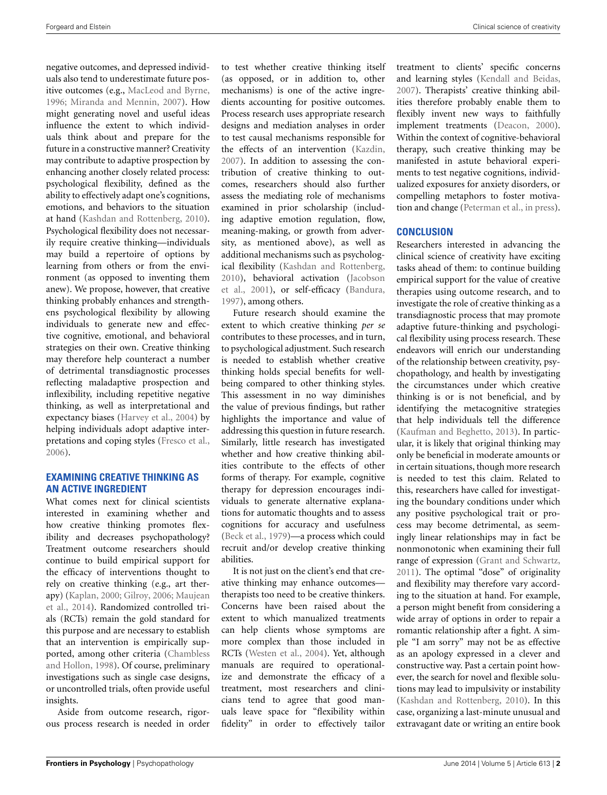negative outcomes, and depressed individuals also tend to underestimate future positive outcomes (e.g., [MacLeod and Byrne,](#page-2-20) [1996](#page-2-20); [Miranda and Mennin](#page-2-21), [2007](#page-2-21)). How might generating novel and useful ideas influence the extent to which individuals think about and prepare for the future in a constructive manner? Creativity may contribute to adaptive prospection by enhancing another closely related process: psychological flexibility, defined as the ability to effectively adapt one's cognitions, emotions, and behaviors to the situation at hand [\(Kashdan and Rottenberg, 2010](#page-2-22)). Psychological flexibility does not necessarily require creative thinking—individuals may build a repertoire of options by learning from others or from the environment (as opposed to inventing them anew). We propose, however, that creative thinking probably enhances and strengthens psychological flexibility by allowing individuals to generate new and effective cognitive, emotional, and behavioral strategies on their own. Creative thinking may therefore help counteract a number of detrimental transdiagnostic processes reflecting maladaptive prospection and inflexibility, including repetitive negative thinking, as well as interpretational and expectancy biases [\(Harvey et al.](#page-2-23), [2004](#page-2-23)) by helping individuals adopt adaptive interpretations and coping styles [\(Fresco et al.,](#page-2-24) [2006](#page-2-24)).

## **EXAMINING CREATIVE THINKING AS AN ACTIVE INGREDIENT**

What comes next for clinical scientists interested in examining whether and how creative thinking promotes flexibility and decreases psychopathology? Treatment outcome researchers should continue to build empirical support for the efficacy of interventions thought to rely on creative thinking (e.g., art therapy)[\(Kaplan, 2000](#page-2-25)[;](#page-2-7) [Gilroy](#page-2-26)[,](#page-2-7) [2006](#page-2-26)[;](#page-2-7) Maujean et al., [2014\)](#page-2-7). Randomized controlled trials (RCTs) remain the gold standard for this purpose and are necessary to establish that an intervention is empirically supported, am[ong](#page-2-27) [other](#page-2-27) [criteria](#page-2-27) [\(](#page-2-27)Chambless and Hollon, [1998](#page-2-27)). Of course, preliminary investigations such as single case designs, or uncontrolled trials, often provide useful insights.

Aside from outcome research, rigorous process research is needed in order to test whether creative thinking itself (as opposed, or in addition to, other mechanisms) is one of the active ingredients accounting for positive outcomes. Process research uses appropriate research designs and mediation analyses in order to test causal mechanisms responsible for the effects of an intervention [\(Kazdin](#page-2-28), [2007](#page-2-28)). In addition to assessing the contribution of creative thinking to outcomes, researchers should also further assess the mediating role of mechanisms examined in prior scholarship (including adaptive emotion regulation, flow, meaning-making, or growth from adversity, as mentioned above), as well as additional mechanisms such as psychological flexibility [\(Kashdan and Rottenberg](#page-2-22), [2010](#page-2-22)[\), behavioral activation \(](#page-2-29)Jacobson et al., [2001](#page-2-29)), or self-efficacy [\(Bandura](#page-2-30), [1997](#page-2-30)), among others.

Future research should examine the extent to which creative thinking *per se* contributes to these processes, and in turn, to psychological adjustment. Such research is needed to establish whether creative thinking holds special benefits for wellbeing compared to other thinking styles. This assessment in no way diminishes the value of previous findings, but rather highlights the importance and value of addressing this question in future research. Similarly, little research has investigated whether and how creative thinking abilities contribute to the effects of other forms of therapy. For example, cognitive therapy for depression encourages individuals to generate alternative explanations for automatic thoughts and to assess cognitions for accuracy and usefulness [\(Beck et al.](#page-2-31), [1979\)](#page-2-31)—a process which could recruit and/or develop creative thinking abilities.

It is not just on the client's end that creative thinking may enhance outcomes therapists too need to be creative thinkers. Concerns have been raised about the extent to which manualized treatments can help clients whose symptoms are more complex than those included in RCTs [\(Westen et al., 2004\)](#page-3-0). Yet, although manuals are required to operationalize and demonstrate the efficacy of a treatment, most researchers and clinicians tend to agree that good manuals leave space for "flexibility within fidelity" in order to effectively tailor

treatment to clients' specific concerns and learning styles [\(Kendall and Beidas](#page-2-32), [2007](#page-2-32)). Therapists' creative thinking abilities therefore probably enable them to flexibly invent new ways to faithfully implement treatments [\(Deacon, 2000\)](#page-2-33). Within the context of cognitive-behavioral therapy, such creative thinking may be manifested in astute behavioral experiments to test negative cognitions, individualized exposures for anxiety disorders, or compelling metaphors to foster motivation and change [\(Peterman et al., in press\)](#page-2-34).

## **CONCLUSION**

Researchers interested in advancing the clinical science of creativity have exciting tasks ahead of them: to continue building empirical support for the value of creative therapies using outcome research, and to investigate the role of creative thinking as a transdiagnostic process that may promote adaptive future-thinking and psychological flexibility using process research. These endeavors will enrich our understanding of the relationship between creativity, psychopathology, and health by investigating the circumstances under which creative thinking is or is not beneficial, and by identifying the metacognitive strategies that help individuals tell the difference [\(Kaufman and Beghetto](#page-2-35), [2013\)](#page-2-35). In particular, it is likely that original thinking may only be beneficial in moderate amounts or in certain situations, though more research is needed to test this claim. Related to this, researchers have called for investigating the boundary conditions under which any positive psychological trait or process may become detrimental, as seemingly linear relationships may in fact be nonmonotonic when examining their full range of expression [\(Grant and Schwartz](#page-2-36), [2011](#page-2-36)). The optimal "dose" of originality and flexibility may therefore vary according to the situation at hand. For example, a person might benefit from considering a wide array of options in order to repair a romantic relationship after a fight. A simple "I am sorry" may not be as effective as an apology expressed in a clever and constructive way. Past a certain point however, the search for novel and flexible solutions may lead to impulsivity or instability [\(Kashdan and Rottenberg, 2010](#page-2-22)). In this case, organizing a last-minute unusual and extravagant date or writing an entire book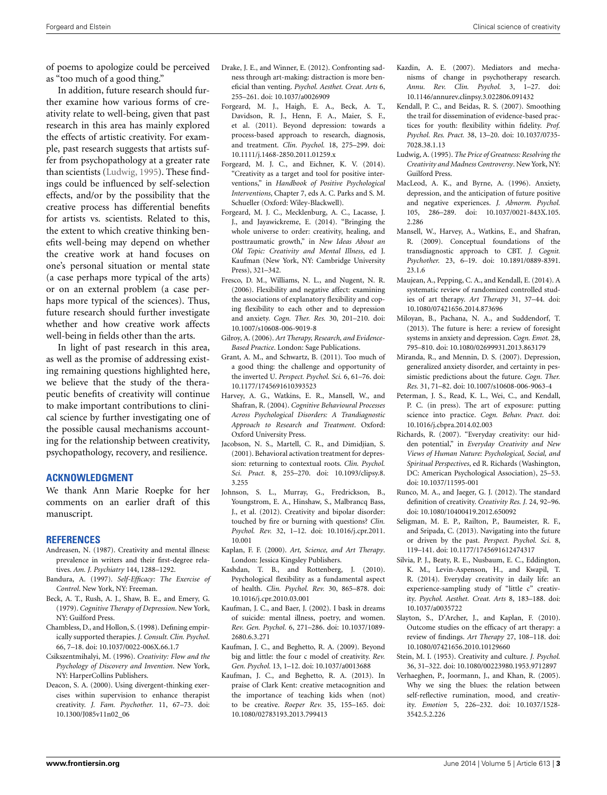of poems to apologize could be perceived as "too much of a good thing."

In addition, future research should further examine how various forms of creativity relate to well-being, given that past research in this area has mainly explored the effects of artistic creativity. For example, past research suggests that artists suffer from psychopathology at a greater rate than scientists [\(Ludwig, 1995](#page-2-1)). These findings could be influenced by self-selection effects, and/or by the possibility that the creative process has differential benefits for artists vs. scientists. Related to this, the extent to which creative thinking benefits well-being may depend on whether the creative work at hand focuses on one's personal situation or mental state (a case perhaps more typical of the arts) or on an external problem (a case perhaps more typical of the sciences). Thus, future research should further investigate whether and how creative work affects well-being in fields other than the arts.

In light of past research in this area, as well as the promise of addressing existing remaining questions highlighted here, we believe that the study of the therapeutic benefits of creativity will continue to make important contributions to clinical science by further investigating one of the possible causal mechanisms accounting for the relationship between creativity, psychopathology, recovery, and resilience.

### **ACKNOWLEDGMENT**

We thank Ann Marie Roepke for her comments on an earlier draft of this manuscript.

#### **REFERENCES**

- <span id="page-2-0"></span>Andreasen, N. (1987). Creativity and mental illness: prevalence in writers and their first-degree relatives. *Am. J. Psychiatry* 144, 1288–1292.
- <span id="page-2-30"></span>Bandura, A. (1997). *Self-Efficacy: The Exercise of Control*. New York, NY: Freeman.
- <span id="page-2-31"></span>Beck, A. T., Rush, A. J., Shaw, B. E., and Emery, G. (1979). *Cognitive Therapy of Depression*. New York, NY: Guilford Press.
- <span id="page-2-27"></span>Chambless, D., and Hollon, S. (1998). Defining empirically supported therapies. *J. Consult. Clin. Psychol*. 66, 7–18. doi: 10.1037/0022-006X.66.1.7
- <span id="page-2-10"></span>Csikszentmihalyi, M. (1996). *Creativity: Flow and the Psychology of Discovery and Invention*. New York, NY: HarperCollins Publishers.
- <span id="page-2-33"></span>Deacon, S. A. (2000). Using divergent-thinking exercises within supervision to enhance therapist creativity. *J. Fam. Psychother.* 11, 67–73. doi: 10.1300/J085v11n02\_06
- <span id="page-2-11"></span>Drake, J. E., and Winner, E. (2012). Confronting sadness through art-making: distraction is more beneficial than venting. *Psychol. Aesthet. Creat. Arts* 6, 255–261. doi: 10.1037/a0026909
- <span id="page-2-14"></span>Forgeard, M. J., Haigh, E. A., Beck, A. T., Davidson, R. J., Henn, F. A., Maier, S. F., et al. (2011). Beyond depression: towards a process-based approach to research, diagnosis, and treatment. *Clin. Psychol.* 18, 275–299. doi: 10.1111/j.1468-2850.2011.01259.x
- <span id="page-2-6"></span>Forgeard, M. J. C., and Eichner, K. V. (2014). "Creativity as a target and tool for positive interventions," in *Handbook of Positive Psychological Interventions*, Chapter 7, eds A. C. Parks and S. M. Schueller (Oxford: Wiley-Blackwell).
- <span id="page-2-12"></span>Forgeard, M. J. C., Mecklenburg, A. C., Lacasse, J. J., and Jayawickreme, E. (2014). "Bringing the whole universe to order: creativity, healing, and posttraumatic growth," in *New Ideas About an Old Topic: Creativity and Mental Illness*, ed J. Kaufman (New York, NY: Cambridge University Press), 321–342.
- <span id="page-2-24"></span>Fresco, D. M., Williams, N. L., and Nugent, N. R. (2006). Flexibility and negative affect: examining the associations of explanatory flexibility and coping flexibility to each other and to depression and anxiety. *Cogn. Ther. Res.* 30, 201–210. doi: 10.1007/s10608-006-9019-8
- <span id="page-2-26"></span>Gilroy, A. (2006). *Art Therapy, Research, and Evidence-Based Practice*. London: Sage Publications.
- <span id="page-2-36"></span>Grant, A. M., and Schwartz, B. (2011). Too much of a good thing: the challenge and opportunity of the inverted U. *Perspect. Psychol. Sci.* 6, 61–76. doi: 10.1177/1745691610393523
- <span id="page-2-23"></span>Harvey, A. G., Watkins, E. R., Mansell, W., and Shafran, R. (2004). *Cognitive Behavioural Processes Across Psychological Disorders: A Trandiagnostic Approach to Research and Treatment*. Oxford: Oxford University Press.
- <span id="page-2-29"></span>Jacobson, N. S., Martell, C. R., and Dimidjian, S. (2001). Behavioral activation treatment for depression: returning to contextual roots. *Clin. Psychol. Sci. Pract.* 8, 255–270. doi: 10.1093/clipsy.8. 3.255
- <span id="page-2-2"></span>Johnson, S. L., Murray, G., Fredrickson, B., Youngstrom, E. A., Hinshaw, S., Malbrancq Bass, J., et al. (2012). Creativity and bipolar disorder: touched by fire or burning with questions? *Clin. Psychol. Rev.* 32, 1–12. doi: 10.1016/j.cpr.2011. 10.001
- <span id="page-2-25"></span>Kaplan, F. F. (2000). *Art, Science, and Art Therapy*. London: Jessica Kingsley Publishers.
- <span id="page-2-22"></span>Kashdan, T. B., and Rottenberg, J. (2010). Psychological flexibility as a fundamental aspect of health. *Clin. Psychol. Rev.* 30, 865–878. doi: 10.1016/j.cpr.2010.03.001
- <span id="page-2-4"></span>Kaufman, J. C., and Baer, J. (2002). I bask in dreams of suicide: mental illness, poetry, and women. *Rev. Gen. Psychol.* 6, 271–286. doi: 10.1037/1089- 2680.6.3.271
- <span id="page-2-17"></span>Kaufman, J. C., and Beghetto, R. A. (2009). Beyond big and little: the four c model of creativity. *Rev. Gen. Psychol.* 13, 1–12. doi: 10.1037/a0013688
- <span id="page-2-35"></span>Kaufman, J. C., and Beghetto, R. A. (2013). In praise of Clark Kent: creative metacognition and the importance of teaching kids when (not) to be creative. *Roeper Rev.* 35, 155–165. doi: 10.1080/02783193.2013.799413
- <span id="page-2-28"></span>Kazdin, A. E. (2007). Mediators and mechanisms of change in psychotherapy research. *Annu. Rev. Clin. Psychol.* 3, 1–27. doi: 10.1146/annurev.clinpsy.3.022806.091432
- <span id="page-2-32"></span>Kendall, P. C., and Beidas, R. S. (2007). Smoothing the trail for dissemination of evidence-based practices for youth: flexibility within fidelity. *Prof. Psychol. Res. Pract.* 38, 13–20. doi: 10.1037/0735- 7028.38.1.13
- <span id="page-2-1"></span>Ludwig, A. (1995). *The Price of Greatness: Resolving the Creativity and Madness Controversy*. New York, NY: Guilford Press.
- <span id="page-2-20"></span>MacLeod, A. K., and Byrne, A. (1996). Anxiety, depression, and the anticipation of future positive and negative experiences. *J. Abnorm. Psychol.* 105, 286–289. doi: 10.1037/0021-843X.105. 2.286
- <span id="page-2-13"></span>Mansell, W., Harvey, A., Watkins, E., and Shafran, R. (2009). Conceptual foundations of the transdiagnostic approach to CBT. *J. Cognit. Psychother.* 23, 6–19. doi: 10.1891/0889-8391. 23.1.6
- <span id="page-2-7"></span>Maujean, A., Pepping, C. A., and Kendall, E. (2014). A systematic review of randomized controlled studies of art therapy. *Art Therapy* 31, 37–44. doi: 10.1080/07421656.2014.873696
- <span id="page-2-19"></span>Miloyan, B., Pachana, N. A., and Suddendorf, T. (2013). The future is here: a review of foresight systems in anxiety and depression. *Cogn. Emot.* 28, 795–810. doi: 10.1080/02699931.2013.863179
- <span id="page-2-21"></span>Miranda, R., and Mennin, D. S. (2007). Depression, generalized anxiety disorder, and certainty in pessimistic predictions about the future. *Cogn. Ther. Res.* 31, 71–82. doi: 10.1007/s10608-006-9063-4
- <span id="page-2-34"></span>Peterman, J. S., Read, K. L., Wei, C., and Kendall, P. C. (in press). The art of exposure: putting science into practice. *Cogn. Behav. Pract*. doi: 10.1016/j.cbpra.2014.02.003
- <span id="page-2-8"></span>Richards, R. (2007). "Everyday creativity: our hidden potential," in *Everyday Creativity and New Views of Human Nature: Psychological, Social, and Spiritual Perspectives*, ed R. Richards (Washington, DC: American Psychological Association), 25–53. doi: 10.1037/11595-001
- <span id="page-2-16"></span>Runco, M. A., and Jaeger, G. J. (2012). The standard definition of creativity. *Creativity Res. J.* 24, 92–96. doi: 10.1080/10400419.2012.650092
- <span id="page-2-18"></span>Seligman, M. E. P., Railton, P., Baumeister, R. F., and Sripada, C. (2013). Navigating into the future or driven by the past. *Perspect. Psychol. Sci.* 8, 119–141. doi: 10.1177/1745691612474317
- <span id="page-2-9"></span>Silvia, P. J., Beaty, R. E., Nusbaum, E. C., Eddington, K. M., Levin-Aspenson, H., and Kwapil, T. R. (2014). Everyday creativity in daily life: an experience-sampling study of "little c" creativity. *Psychol. Aesthet. Creat. Arts* 8, 183–188. doi: 10.1037/a0035722
- <span id="page-2-5"></span>Slayton, S., D'Archer, J., and Kaplan, F. (2010). Outcome studies on the efficacy of art therapy: a review of findings. *Art Therapy* 27, 108–118. doi: 10.1080/07421656.2010.10129660
- <span id="page-2-15"></span>Stein, M. I. (1953). Creativity and culture. *J. Psychol.* 36, 31–322. doi: 10.1080/00223980.1953.9712897
- <span id="page-2-3"></span>Verhaeghen, P., Joormann, J., and Khan, R. (2005). Why we sing the blues: the relation between self-reflective rumination, mood, and creativity. *Emotion* 5, 226–232. doi: 10.1037/1528- 3542.5.2.226